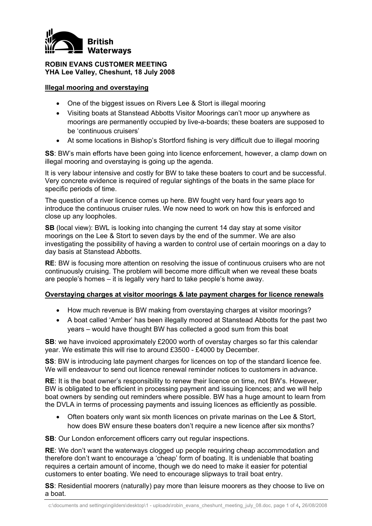

## **ROBIN EVANS CUSTOMER MEETING YHA Lee Valley, Cheshunt, 18 July 2008**

#### **Illegal mooring and overstaying**

- One of the biggest issues on Rivers Lee & Stort is illegal mooring
- Visiting boats at Stanstead Abbotts Visitor Moorings can't moor up anywhere as moorings are permanently occupied by live-a-boards; these boaters are supposed to be 'continuous cruisers'
- At some locations in Bishop's Stortford fishing is very difficult due to illegal mooring

**SS**: BW's main efforts have been going into licence enforcement, however, a clamp down on illegal mooring and overstaying is going up the agenda.

It is very labour intensive and costly for BW to take these boaters to court and be successful. Very concrete evidence is required of regular sightings of the boats in the same place for specific periods of time.

The question of a river licence comes up here. BW fought very hard four years ago to introduce the continuous cruiser rules. We now need to work on how this is enforced and close up any loopholes.

**SB** (local view): BWL is looking into changing the current 14 day stay at some visitor moorings on the Lee & Stort to seven days by the end of the summer. We are also investigating the possibility of having a warden to control use of certain moorings on a day to day basis at Stanstead Abbotts.

**RE:** BW is focusing more attention on resolving the issue of continuous cruisers who are not continuously cruising. The problem will become more difficult when we reveal these boats are people's homes – it is legally very hard to take people's home away.

## **Overstaying charges at visitor moorings & late payment charges for licence renewals**

- How much revenue is BW making from overstaying charges at visitor moorings?
- A boat called 'Amber' has been illegally moored at Stanstead Abbotts for the past two years – would have thought BW has collected a good sum from this boat

**SB**: we have invoiced approximately £2000 worth of overstay charges so far this calendar year. We estimate this will rise to around £3500 - £4000 by December.

**SS:** BW is introducing late payment charges for licences on top of the standard licence fee. We will endeavour to send out licence renewal reminder notices to customers in advance.

**RE**: It is the boat owner's responsibility to renew their licence on time, not BW's. However, BW is obligated to be efficient in processing payment and issuing licences; and we will help boat owners by sending out reminders where possible. BW has a huge amount to learn from the DVLA in terms of processing payments and issuing licences as efficiently as possible.

• Often boaters only want six month licences on private marinas on the Lee & Stort, how does BW ensure these boaters don't require a new licence after six months?

**SB:** Our London enforcement officers carry out regular inspections.

**RE**: We don't want the waterways clogged up people requiring cheap accommodation and therefore don't want to encourage a 'cheap' form of boating. It is undeniable that boating requires a certain amount of income, though we do need to make it easier for potential customers to enter boating. We need to encourage slipways to trail boat entry.

**SS**: Residential moorers (naturally) pay more than leisure moorers as they choose to live on a boat.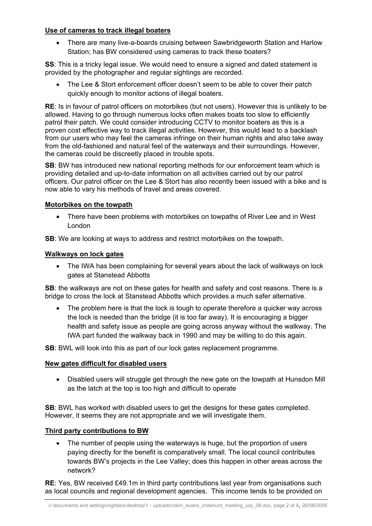# **Use of cameras to track illegal boaters**

• There are many live-a-boards cruising between Sawbridgeworth Station and Harlow Station; has BW considered using cameras to track these boaters?

**SS**: This is a tricky legal issue. We would need to ensure a signed and dated statement is provided by the photographer and regular sightings are recorded.

The Lee & Stort enforcement officer doesn't seem to be able to cover their patch quickly enough to monitor actions of illegal boaters.

**RE**: Is in favour of patrol officers on motorbikes (but not users). However this is unlikely to be allowed. Having to go through numerous locks often makes boats too slow to efficiently patrol their patch. We could consider introducing CCTV to monitor boaters as this is a proven cost effective way to track illegal activities. However, this would lead to a backlash from our users who may feel the cameras infringe on their human rights and also take away from the old-fashioned and natural feel of the waterways and their surroundings. However, the cameras could be discreetly placed in trouble spots.

**SB**: BW has introduced new national reporting methods for our enforcement team which is providing detailed and up-to-date information on all activities carried out by our patrol officers. Our patrol officer on the Lee & Stort has also recently been issued with a bike and is now able to vary his methods of travel and areas covered.

# **Motorbikes on the towpath**

• There have been problems with motorbikes on towpaths of River Lee and in West London

**SB**: We are looking at ways to address and restrict motorbikes on the towpath.

# **Walkways on lock gates**

• The IWA has been complaining for several years about the lack of walkways on lock gates at Stanstead Abbotts

**SB:** the walkways are not on these gates for health and safety and cost reasons. There is a bridge to cross the lock at Stanstead Abbotts which provides a much safer alternative.

The problem here is that the lock is tough to operate therefore a quicker way across the lock is needed than the bridge (it is too far away). It is encouraging a bigger health and safety issue as people are going across anyway without the walkway. The IWA part funded the walkway back in 1990 and may be willing to do this again.

**SB**: BWL will look into this as part of our lock gates replacement programme.

## **New gates difficult for disabled users**

• Disabled users will struggle get through the new gate on the towpath at Hunsdon Mill as the latch at the top is too high and difficult to operate

**SB:** BWL has worked with disabled users to get the designs for these gates completed. However, it seems they are not appropriate and we will investigate them.

## **Third party contributions to BW**

The number of people using the waterways is huge, but the proportion of users paying directly for the benefit is comparatively small. The local council contributes towards BW's projects in the Lee Valley; does this happen in other areas across the network?

**RE**: Yes, BW received £49.1m in third party contributions last year from organisations such as local councils and regional development agencies. This income tends to be provided on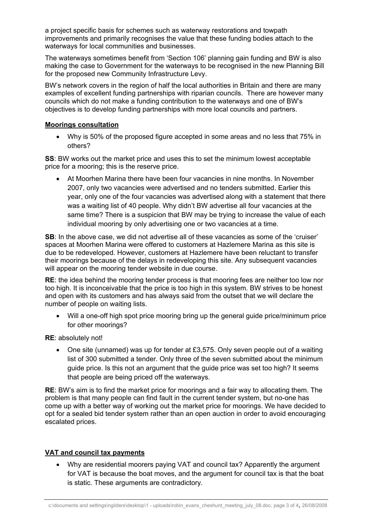a project specific basis for schemes such as waterway restorations and towpath improvements and primarily recognises the value that these funding bodies attach to the waterways for local communities and businesses.

The waterways sometimes benefit from 'Section 106' planning gain funding and BW is also making the case to Government for the waterways to be recognised in the new Planning Bill for the proposed new Community Infrastructure Levy.

BW's network covers in the region of half the local authorities in Britain and there are many examples of excellent funding partnerships with riparian councils. There are however many councils which do not make a funding contribution to the waterways and one of BW's objectives is to develop funding partnerships with more local councils and partners.

#### **Moorings consultation**

• Why is 50% of the proposed figure accepted in some areas and no less that 75% in others?

**SS**: BW works out the market price and uses this to set the minimum lowest acceptable price for a mooring; this is the reserve price.

• At Moorhen Marina there have been four vacancies in nine months. In November 2007, only two vacancies were advertised and no tenders submitted. Earlier this year, only one of the four vacancies was advertised along with a statement that there was a waiting list of 40 people. Why didn't BW advertise all four vacancies at the same time? There is a suspicion that BW may be trying to increase the value of each individual mooring by only advertising one or two vacancies at a time.

**SB**: In the above case, we did not advertise all of these vacancies as some of the 'cruiser' spaces at Moorhen Marina were offered to customers at Hazlemere Marina as this site is due to be redeveloped. However, customers at Hazlemere have been reluctant to transfer their moorings because of the delays in redeveloping this site. Any subsequent vacancies will appear on the mooring tender website in due course.

**RE**: the idea behind the mooring tender process is that mooring fees are neither too low nor too high. It is inconceivable that the price is too high in this system. BW strives to be honest and open with its customers and has always said from the outset that we will declare the number of people on waiting lists.

• Will a one-off high spot price mooring bring up the general guide price/minimum price for other moorings?

#### **RE**: absolutely not!

• One site (unnamed) was up for tender at £3,575. Only seven people out of a waiting list of 300 submitted a tender. Only three of the seven submitted about the minimum guide price. Is this not an argument that the guide price was set too high? It seems that people are being priced off the waterways.

**RE**: BW's aim is to find the market price for moorings and a fair way to allocating them. The problem is that many people can find fault in the current tender system, but no-one has come up with a better way of working out the market price for moorings. We have decided to opt for a sealed bid tender system rather than an open auction in order to avoid encouraging escalated prices.

## **VAT and council tax payments**

• Why are residential moorers paying VAT and council tax? Apparently the argument for VAT is because the boat moves, and the argument for council tax is that the boat is static. These arguments are contradictory.